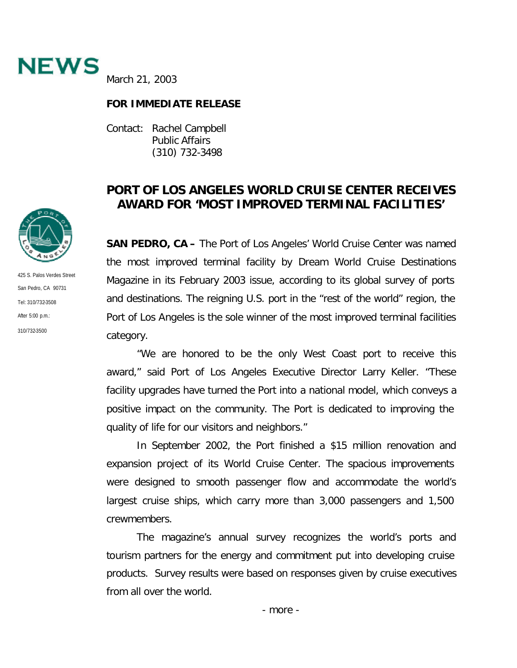

March 21, 2003

## **FOR IMMEDIATE RELEASE**

Contact: Rachel Campbell Public Affairs (310) 732-3498

## **PORT OF LOS ANGELES WORLD CRUISE CENTER RECEIVES AWARD FOR 'MOST IMPROVED TERMINAL FACILITIES'**

**SAN PEDRO, CA –** The Port of Los Angeles' World Cruise Center was named the most improved terminal facility by Dream World Cruise Destinations Magazine in its February 2003 issue, according to its global survey of ports and destinations. The reigning U.S. port in the "rest of the world" region, the Port of Los Angeles is the sole winner of the most improved terminal facilities category.

"We are honored to be the only West Coast port to receive this award," said Port of Los Angeles Executive Director Larry Keller. "These facility upgrades have turned the Port into a national model, which conveys a positive impact on the community. The Port is dedicated to improving the quality of life for our visitors and neighbors."

In September 2002, the Port finished a \$15 million renovation and expansion project of its World Cruise Center. The spacious improvements were designed to smooth passenger flow and accommodate the world's largest cruise ships, which carry more than 3,000 passengers and 1,500 crewmembers.

The magazine's annual survey recognizes the world's ports and tourism partners for the energy and commitment put into developing cruise products. Survey results were based on responses given by cruise executives from all over the world.



425 S. Palos Verdes Street San Pedro, CA 90731 Tel: 310/732-3508 After 5:00 p.m.: 310/732-3500